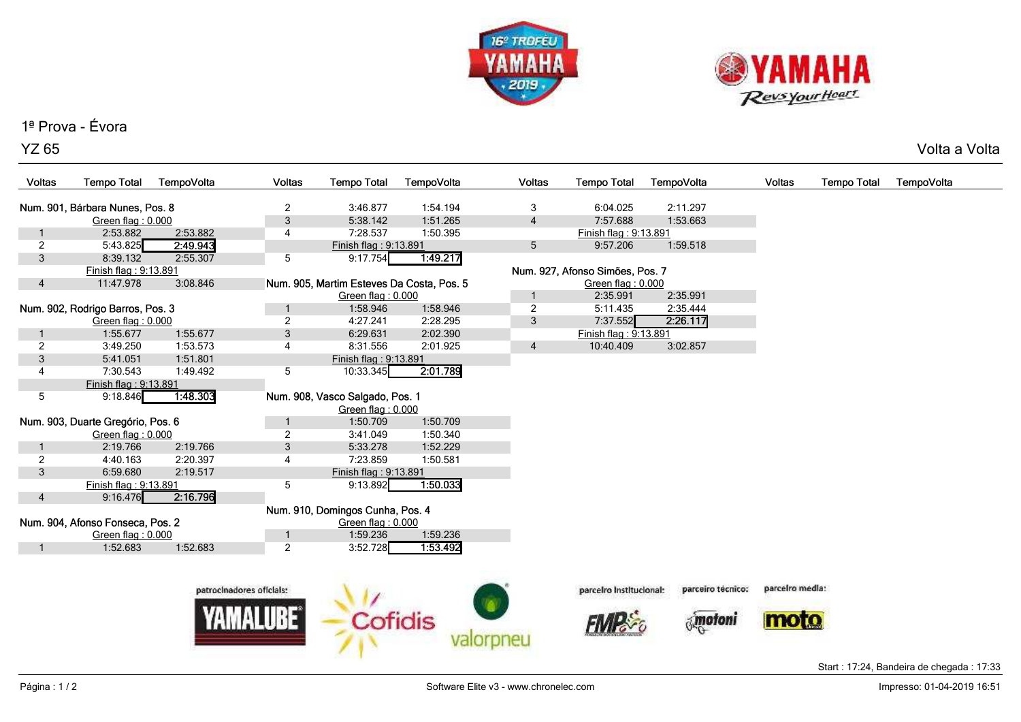



## 1ª Prova - Évora

YZ 65Volta a Volta

| Voltas                            | <b>Tempo Total</b>              | TempoVolta | <b>Voltas</b>                       | <b>Tempo Total</b>                                                            | TempoVolta           |  | Voltas         | <b>Tempo Total</b>              | TempoVolta        | Voltas          | <b>Tempo Total</b> | TempoVolta |
|-----------------------------------|---------------------------------|------------|-------------------------------------|-------------------------------------------------------------------------------|----------------------|--|----------------|---------------------------------|-------------------|-----------------|--------------------|------------|
|                                   |                                 |            |                                     |                                                                               |                      |  |                |                                 |                   |                 |                    |            |
|                                   | Num. 901, Bárbara Nunes, Pos. 8 |            | 2                                   | 3:46.877<br>5:38.142                                                          | 1:54.194<br>1:51.265 |  | 3              | 6:04.025<br>7:57.688            | 2:11.297          |                 |                    |            |
|                                   | Green flag: 0.000<br>2:53.882   | 2:53.882   | $\sqrt{3}$<br>4                     | 7:28.537                                                                      | 1:50.395             |  | $\overline{4}$ | Finish flag: 9:13.891           | 1:53.663          |                 |                    |            |
| $\overline{2}$                    | 5:43.825                        | 2:49.943   |                                     | Finish flag: 9:13.891                                                         |                      |  | 5              | 9:57.206                        | 1:59.518          |                 |                    |            |
| $\mathbf{3}$                      | 8:39.132                        | 2:55.307   | 5                                   | 9:17.754                                                                      | 1:49.217             |  |                |                                 |                   |                 |                    |            |
|                                   | Finish flag: 9:13.891           |            |                                     |                                                                               |                      |  |                | Num. 927, Afonso Simões, Pos. 7 |                   |                 |                    |            |
| $\overline{4}$                    | 3:08.846<br>11:47.978           |            |                                     | Num. 905, Martim Esteves Da Costa, Pos. 5                                     |                      |  |                | Green flag: 0.000               |                   |                 |                    |            |
|                                   |                                 |            | Green flag: 0.000                   |                                                                               |                      |  | $\mathbf{1}$   | 2:35.991                        | 2:35.991          |                 |                    |            |
| Num. 902, Rodrigo Barros, Pos. 3  |                                 |            |                                     | 1:58.946                                                                      | 1:58.946             |  | $\overline{c}$ | 5:11.435                        | 2:35.444          |                 |                    |            |
|                                   | Green flag: 0.000               |            | $\overline{2}$                      | 4:27.241                                                                      | 2:28.295             |  | 3              | 7:37.552                        | 2:26.117          |                 |                    |            |
|                                   | 1:55.677                        | 1:55.677   | $\mathfrak{Z}$                      | 6:29.631                                                                      | 2:02.390             |  |                | Finish flag: 9:13.891           |                   |                 |                    |            |
| $\overline{2}$                    | 3:49.250                        | 1:53.573   | 4                                   | 8:31.556                                                                      | 2:01.925             |  | $\overline{4}$ | 10:40.409                       | 3:02.857          |                 |                    |            |
| 3                                 | 5:41.051                        | 1:51.801   |                                     | Finish flag: 9:13.891                                                         |                      |  |                |                                 |                   |                 |                    |            |
| $\overline{4}$                    | 7:30.543                        | 1:49.492   | 5                                   | 10:33.345                                                                     | 2:01.789             |  |                |                                 |                   |                 |                    |            |
|                                   | Finish flag: 9:13.891           |            |                                     |                                                                               |                      |  |                |                                 |                   |                 |                    |            |
| 5                                 | 9:18.846                        | 1:48.303   |                                     | Num. 908, Vasco Salgado, Pos. 1                                               |                      |  |                |                                 |                   |                 |                    |            |
|                                   |                                 |            |                                     | Green flag: 0.000                                                             |                      |  |                |                                 |                   |                 |                    |            |
| Num. 903, Duarte Gregório, Pos. 6 |                                 |            | -1                                  | 1:50.709                                                                      | 1:50.709             |  |                |                                 |                   |                 |                    |            |
|                                   | Green flag: 0.000               |            | 2                                   | 3:41.049                                                                      | 1:50.340             |  |                |                                 |                   |                 |                    |            |
|                                   | 2:19.766                        | 2:19.766   | $\mathfrak{Z}$                      | 5:33.278                                                                      | 1:52.229             |  |                |                                 |                   |                 |                    |            |
| $\overline{2}$                    | 4:40.163                        | 2:20.397   | 4                                   | 7:23.859                                                                      | 1:50.581             |  |                |                                 |                   |                 |                    |            |
| $\mathbf{3}$                      | 6:59.680                        | 2:19.517   |                                     | Finish flag: 9:13.891                                                         |                      |  |                |                                 |                   |                 |                    |            |
|                                   | Finish flag: 9:13.891           |            | 5                                   | 9:13.892                                                                      | 1:50.033             |  |                |                                 |                   |                 |                    |            |
| 4                                 | 9:16.476                        | 2:16.796   |                                     |                                                                               |                      |  |                |                                 |                   |                 |                    |            |
|                                   |                                 |            |                                     |                                                                               |                      |  |                |                                 |                   |                 |                    |            |
| Num. 904, Afonso Fonseca, Pos. 2  |                                 |            |                                     |                                                                               |                      |  |                |                                 |                   |                 |                    |            |
|                                   |                                 |            |                                     |                                                                               |                      |  |                |                                 |                   |                 |                    |            |
|                                   |                                 |            |                                     |                                                                               |                      |  |                |                                 |                   |                 |                    |            |
|                                   |                                 |            |                                     |                                                                               |                      |  |                |                                 |                   |                 |                    |            |
|                                   |                                 |            |                                     |                                                                               |                      |  |                |                                 |                   |                 |                    |            |
|                                   |                                 |            |                                     | Cofidis                                                                       |                      |  |                |                                 |                   |                 |                    |            |
|                                   |                                 |            |                                     |                                                                               |                      |  |                |                                 |                   |                 |                    |            |
|                                   |                                 |            |                                     |                                                                               |                      |  |                |                                 | motoni            |                 |                    |            |
|                                   |                                 |            |                                     |                                                                               |                      |  |                |                                 |                   |                 |                    |            |
|                                   |                                 |            |                                     |                                                                               |                      |  |                |                                 |                   |                 |                    |            |
|                                   | Green flag: 0.000<br>1:52.683   | 1:52.683   | -1<br>2<br>patrocinadores oficiais: | Num. 910, Domingos Cunha, Pos. 4<br>Green flag: 0.000<br>1:59.236<br>3:52.728 | 1:59.236<br>1:53.492 |  |                | parcelro institucional:         | parceiro técnico: | parcelro media: |                    |            |